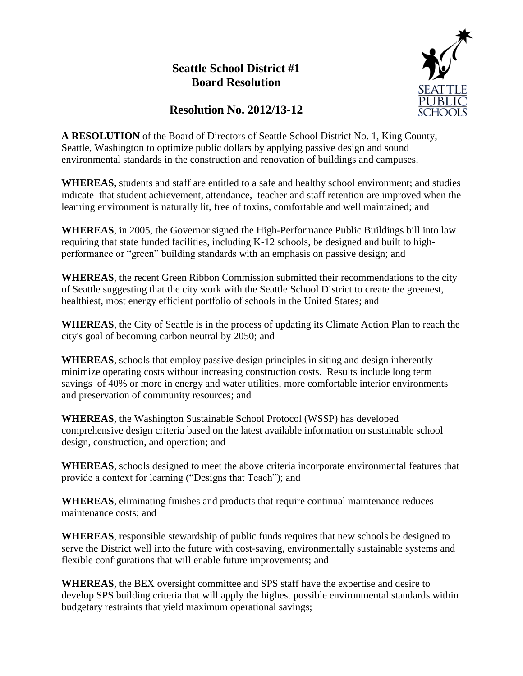## **Seattle School District #1 Board Resolution**



## **Resolution No. 2012/13-12**

**A RESOLUTION** of the Board of Directors of Seattle School District No. 1, King County, Seattle, Washington to optimize public dollars by applying passive design and sound environmental standards in the construction and renovation of buildings and campuses.

**WHEREAS,** students and staff are entitled to a safe and healthy school environment; and studies indicate that student achievement, attendance, teacher and staff retention are improved when the learning environment is naturally lit, free of toxins, comfortable and well maintained; and

**WHEREAS**, in 2005, the Governor signed the High-Performance Public Buildings bill into law requiring that state funded facilities, including K-12 schools, be designed and built to highperformance or "green" building standards with an emphasis on passive design; and

**WHEREAS**, the recent Green Ribbon Commission submitted their recommendations to the city of Seattle suggesting that the city work with the Seattle School District to create the greenest, healthiest, most energy efficient portfolio of schools in the United States; and

**WHEREAS**, the City of Seattle is in the process of updating its Climate Action Plan to reach the city's goal of becoming carbon neutral by 2050; and

**WHEREAS**, schools that employ passive design principles in siting and design inherently minimize operating costs without increasing construction costs. Results include long term savings of 40% or more in energy and water utilities, more comfortable interior environments and preservation of community resources; and

**WHEREAS**, the Washington Sustainable School Protocol (WSSP) has developed comprehensive design criteria based on the latest available information on sustainable school design, construction, and operation; and

**WHEREAS**, schools designed to meet the above criteria incorporate environmental features that provide a context for learning ("Designs that Teach"); and

**WHEREAS**, eliminating finishes and products that require continual maintenance reduces maintenance costs; and

**WHEREAS**, responsible stewardship of public funds requires that new schools be designed to serve the District well into the future with cost-saving, environmentally sustainable systems and flexible configurations that will enable future improvements; and

**WHEREAS**, the BEX oversight committee and SPS staff have the expertise and desire to develop SPS building criteria that will apply the highest possible environmental standards within budgetary restraints that yield maximum operational savings;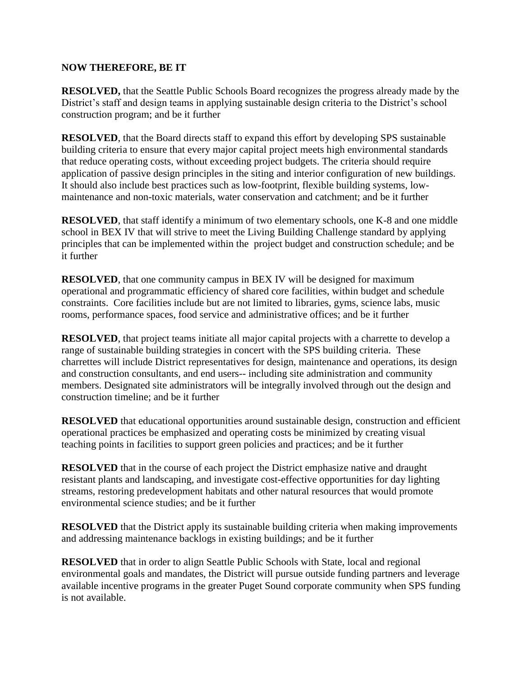## **NOW THEREFORE, BE IT**

**RESOLVED,** that the Seattle Public Schools Board recognizes the progress already made by the District's staff and design teams in applying sustainable design criteria to the District's school construction program; and be it further

**RESOLVED**, that the Board directs staff to expand this effort by developing SPS sustainable building criteria to ensure that every major capital project meets high environmental standards that reduce operating costs, without exceeding project budgets. The criteria should require application of passive design principles in the siting and interior configuration of new buildings. It should also include best practices such as low-footprint, flexible building systems, lowmaintenance and non-toxic materials, water conservation and catchment; and be it further

**RESOLVED**, that staff identify a minimum of two elementary schools, one K-8 and one middle school in BEX IV that will strive to meet the Living Building Challenge standard by applying principles that can be implemented within the project budget and construction schedule; and be it further

**RESOLVED**, that one community campus in BEX IV will be designed for maximum operational and programmatic efficiency of shared core facilities, within budget and schedule constraints. Core facilities include but are not limited to libraries, gyms, science labs, music rooms, performance spaces, food service and administrative offices; and be it further

**RESOLVED**, that project teams initiate all major capital projects with a charrette to develop a range of sustainable building strategies in concert with the SPS building criteria. These charrettes will include District representatives for design, maintenance and operations, its design and construction consultants, and end users-- including site administration and community members. Designated site administrators will be integrally involved through out the design and construction timeline; and be it further

**RESOLVED** that educational opportunities around sustainable design, construction and efficient operational practices be emphasized and operating costs be minimized by creating visual teaching points in facilities to support green policies and practices; and be it further

**RESOLVED** that in the course of each project the District emphasize native and draught resistant plants and landscaping, and investigate cost-effective opportunities for day lighting streams, restoring predevelopment habitats and other natural resources that would promote environmental science studies; and be it further

**RESOLVED** that the District apply its sustainable building criteria when making improvements and addressing maintenance backlogs in existing buildings; and be it further

**RESOLVED** that in order to align Seattle Public Schools with State, local and regional environmental goals and mandates, the District will pursue outside funding partners and leverage available incentive programs in the greater Puget Sound corporate community when SPS funding is not available.